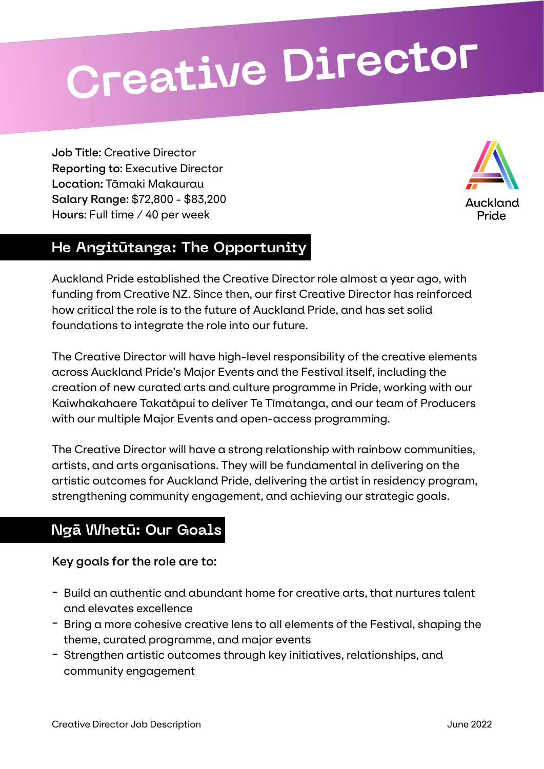# **Creative Director**

**Job Title:** Creative Director **Reporting to:** Executive Director **Location:** Tāmaki Makaurau **Salary Range:** \$72,800 - \$83,200 **Hours:** Full time / 40 per week



# **He Angitūtanga: The Opportunity**

Auckland Pride established the Creative Director role almost a year ago, with funding from Creative NZ. Since then, our first Creative Director has reinforced how critical the role is to the future of Auckland Pride, and has set solid foundations to integrate the role into our future.

The Creative Director will have high-level responsibility of the creative elements across Auckland Pride's Major Events and the Festival itself, including the creation of new curated arts and culture programme in Pride, working with our Kaiwhakahaere Takatāpui to deliver Te Tīmatanga, and our team of Producers with our multiple Major Events and open-access programming.

The Creative Director will have a strong relationship with rainbow communities, artists, and arts organisations. They will be fundamental in delivering on the artistic outcomes for Auckland Pride, delivering the artist in residency program, strengthening community engagement, and achieving our strategic goals.

# **Ngā Whetū: Our Goals**

**Key goals for the role are to:**

- Build an authentic and abundant home for creative arts, that nurtures talent and elevates excellence
- Bring a more cohesive creative lens to all elements of the Festival, shaping the theme, curated programme, and major events
- Strengthen artistic outcomes through key initiatives, relationships, and community engagement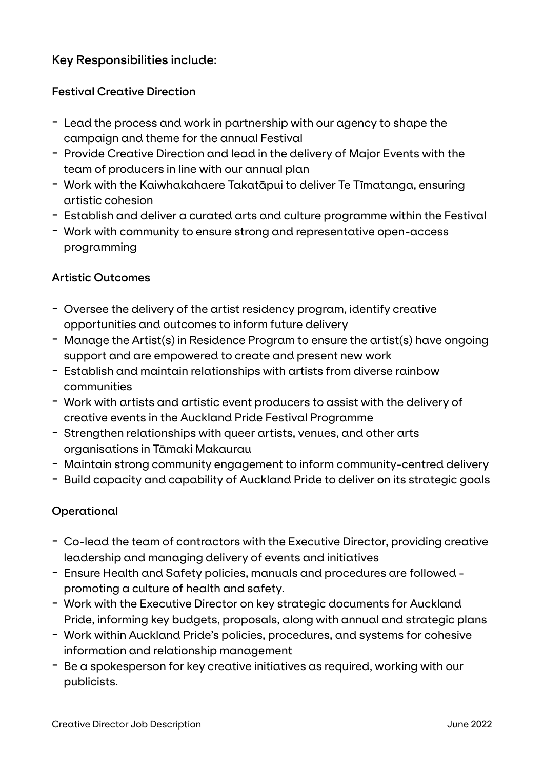## **Key Responsibilities include:**

## **Festival Creative Direction**

- Lead the process and work in partnership with our agency to shape the campaign and theme for the annual Festival
- Provide Creative Direction and lead in the delivery of Major Events with the team of producers in line with our annual plan
- Work with the Kaiwhakahaere Takatāpui to deliver Te Tīmatanga, ensuring artistic cohesion
- Establish and deliver a curated arts and culture programme within the Festival
- Work with community to ensure strong and representative open-access programming

## **Artistic Outcomes**

- Oversee the delivery of the artist residency program, identify creative opportunities and outcomes to inform future delivery
- Manage the Artist(s) in Residence Program to ensure the artist(s) have ongoing support and are empowered to create and present new work
- Establish and maintain relationships with artists from diverse rainbow communities
- Work with artists and artistic event producers to assist with the delivery of creative events in the Auckland Pride Festival Programme
- Strengthen relationships with queer artists, venues, and other arts organisations in Tāmaki Makaurau
- Maintain strong community engagement to inform community-centred delivery
- Build capacity and capability of Auckland Pride to deliver on its strategic goals

## **Operational**

- Co-lead the team of contractors with the Executive Director, providing creative leadership and managing delivery of events and initiatives
- Ensure Health and Safety policies, manuals and procedures are followed promoting a culture of health and safety.
- Work with the Executive Director on key strategic documents for Auckland Pride, informing key budgets, proposals, along with annual and strategic plans
- Work within Auckland Pride's policies, procedures, and systems for cohesive information and relationship management
- Be a spokesperson for key creative initiatives as required, working with our publicists.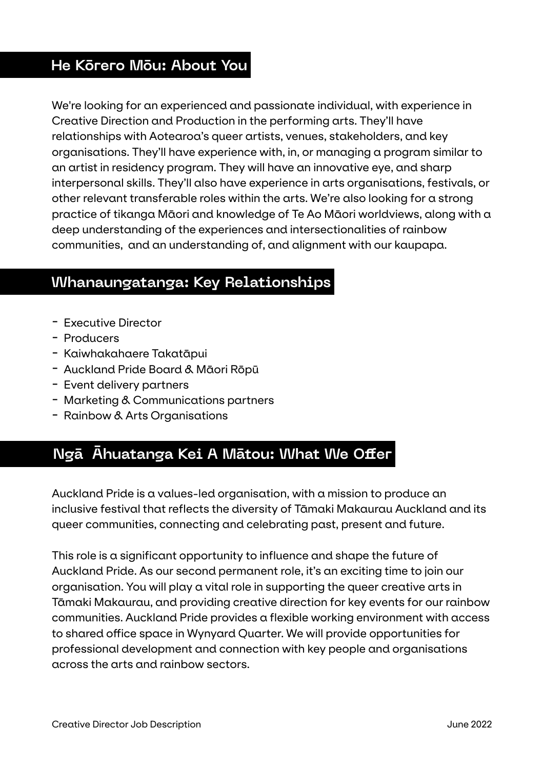## **He Kōrero Mōu: About You**

We're looking for an experienced and passionate individual, with experience in Creative Direction and Production in the performing arts. They'll have relationships with Aotearoa's queer artists, venues, stakeholders, and key organisations. They'll have experience with, in, or managing a program similar to an artist in residency program. They will have an innovative eye, and sharp interpersonal skills. They'll also have experience in arts organisations, festivals, or other relevant transferable roles within the arts. We're also looking for a strong practice of tikanga Māori and knowledge of Te Ao Māori worldviews, along with a deep understanding of the experiences and intersectionalities of rainbow communities, and an understanding of, and alignment with our kaupapa.

## **Whanaungatanga: Key Relationships**

- Executive Director
- Producers
- Kaiwhakahaere Takatāpui
- Auckland Pride Board & Māori Rōpū
- Event delivery partners
- Marketing & Communications partners
- Rainbow & Arts Organisations

# **Ngā Āhuatanga Kei A Mātou: What We Offer**

Auckland Pride is a values-led organisation, with a mission to produce an inclusive festival that reflects the diversity of Tāmaki Makaurau Auckland and its queer communities, connecting and celebrating past, present and future.

This role is a significant opportunity to influence and shape the future of Auckland Pride. As our second permanent role, it's an exciting time to join our organisation. You will play a vital role in supporting the queer creative arts in Tāmaki Makaurau, and providing creative direction for key events for our rainbow communities. Auckland Pride provides a flexible working environment with access to shared office space in Wynyard Quarter. We will provide opportunities for professional development and connection with key people and organisations across the arts and rainbow sectors.